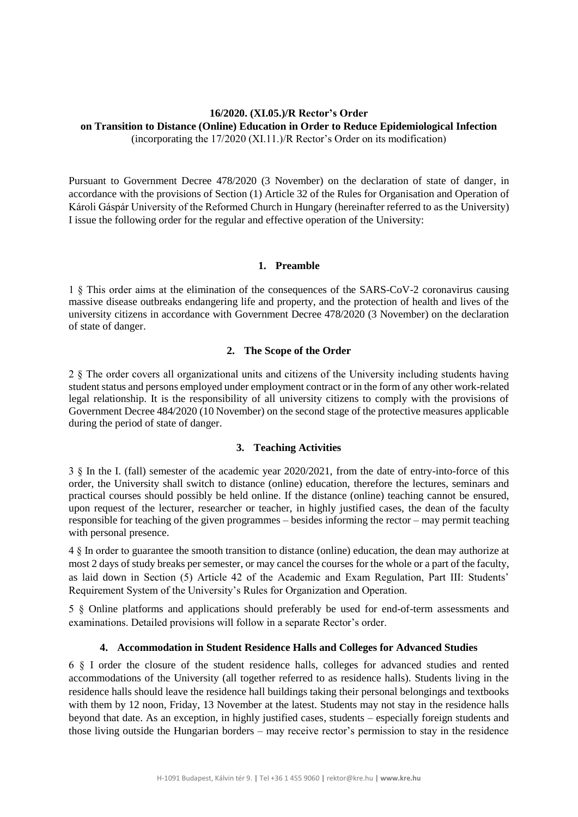### **16/2020. (XI.05.)/R Rector's Order on Transition to Distance (Online) Education in Order to Reduce Epidemiological Infection** (incorporating the 17/2020 (XI.11.)/R Rector's Order on its modification)

Pursuant to Government Decree 478/2020 (3 November) on the declaration of state of danger, in accordance with the provisions of Section (1) Article 32 of the Rules for Organisation and Operation of Károli Gáspár University of the Reformed Church in Hungary (hereinafter referred to as the University) I issue the following order for the regular and effective operation of the University:

### **1. Preamble**

1 § This order aims at the elimination of the consequences of the SARS-CoV-2 coronavirus causing massive disease outbreaks endangering life and property, and the protection of health and lives of the university citizens in accordance with Government Decree 478/2020 (3 November) on the declaration of state of danger.

# **2. The Scope of the Order**

2 § The order covers all organizational units and citizens of the University including students having student status and persons employed under employment contract or in the form of any other work-related legal relationship. It is the responsibility of all university citizens to comply with the provisions of Government Decree 484/2020 (10 November) on the second stage of the protective measures applicable during the period of state of danger.

### **3. Teaching Activities**

3 § In the I. (fall) semester of the academic year 2020/2021, from the date of entry-into-force of this order, the University shall switch to distance (online) education, therefore the lectures, seminars and practical courses should possibly be held online. If the distance (online) teaching cannot be ensured, upon request of the lecturer, researcher or teacher, in highly justified cases, the dean of the faculty responsible for teaching of the given programmes – besides informing the rector – may permit teaching with personal presence.

4 § In order to guarantee the smooth transition to distance (online) education, the dean may authorize at most 2 days of study breaks per semester, or may cancel the courses for the whole or a part of the faculty, as laid down in Section (5) Article 42 of the Academic and Exam Regulation, Part III: Students' Requirement System of the University's Rules for Organization and Operation.

5 § Online platforms and applications should preferably be used for end-of-term assessments and examinations. Detailed provisions will follow in a separate Rector's order.

# **4. Accommodation in Student Residence Halls and Colleges for Advanced Studies**

6 § I order the closure of the student residence halls, colleges for advanced studies and rented accommodations of the University (all together referred to as residence halls). Students living in the residence halls should leave the residence hall buildings taking their personal belongings and textbooks with them by 12 noon, Friday, 13 November at the latest. Students may not stay in the residence halls beyond that date. As an exception, in highly justified cases, students – especially foreign students and those living outside the Hungarian borders – may receive rector's permission to stay in the residence